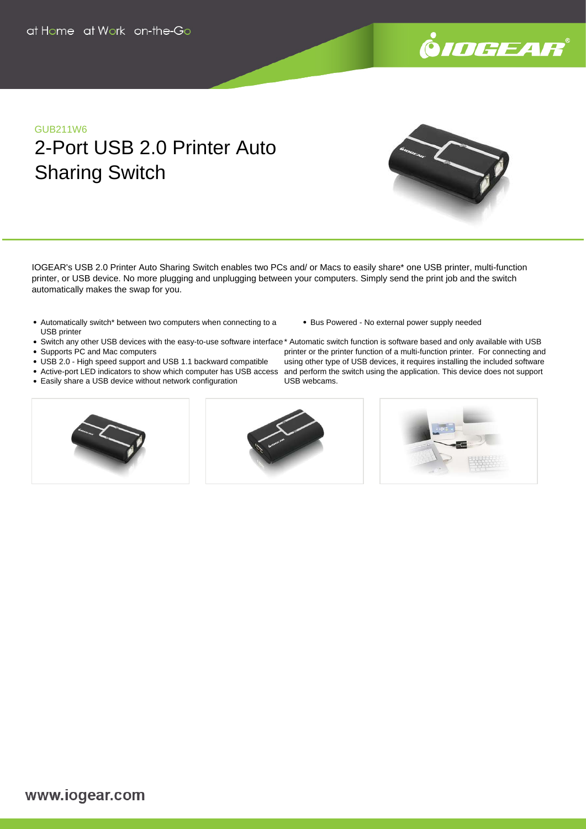

# GUB211W6 2-Port USB 2.0 Printer Auto Sharing Switch

IOGEAR's USB 2.0 Printer Auto Sharing Switch enables two PCs and/ or Macs to easily share\* one USB printer, multi-function printer, or USB device. No more plugging and unplugging between your computers. Simply send the print job and the switch automatically makes the swap for you.

- Automatically switch\* between two computers when connecting to a USB printer
- Bus Powered No external power supply needed
- 
- Supports PC and Mac computers
- 
- USB 2.0 High speed support and USB 1.1 backward compatible
- Easily share a USB device without network configuration
- 



Switch any other USB devices with the easy-to-use software interface\* Automatic switch function is software based and only available with USB Active-port LED indicators to show which computer has USB access and perform the switch using the application. This device does not support printer or the printer function of a multi-function printer. For connecting and using other type of USB devices, it requires installing the included software USB webcams.